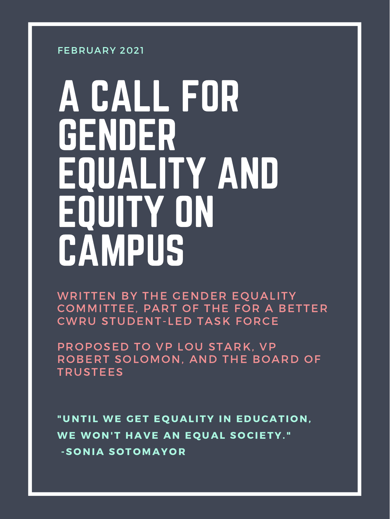"UNTIL WE GET EQUALITY IN EDUCATION, WE WON'T HAVE AN EQUAL SOCIETY." -S O NIA S O T OMAY O R

FEBRUARY 2021

WRITTEN BY THE GENDER EQUALITY COMMITTEE, PART OF THE FOR A BETTER CWRU STUDENT-LED TASK FORCE

# A CALL FOR GENDER EQUALITY AND EQUITY ON CAMPUS

PROPOSED TO VP LOU STARK, VP ROBERT SOLOMON, AND THE BOARD OF TRUSTEES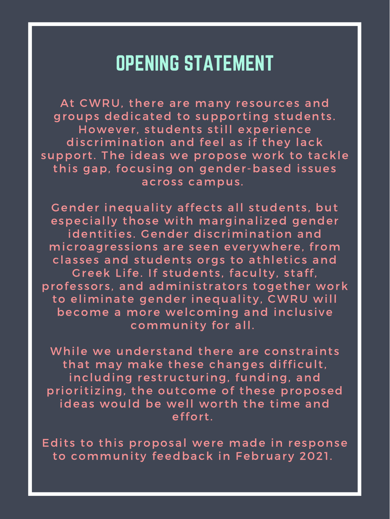#### OPENING STATEMENT

At CWRU, there are many resources and groups dedicated to supporting students. However, students still experience discrimination and feel as if they lack support. The ideas we propose work to tackle this gap, focusing on gender-based issues across campus.

Gender inequality affects all students, but especially those with marginalized gender identities. Gender discrimination and microagressions are seen everywhere, from classes and students orgs to athletics and Greek Life. If students, faculty, staff, professors, and administrators together work to eliminate gender inequality, CWRU will become a more welcoming and inclusive community for all.

While we understand there are constraints that may make these changes difficult, including restructuring, funding, and prioritizing, the outcome of these proposed ideas would be well worth the time and effort.

Edits to this proposal were made in response to community feedback in February 2021.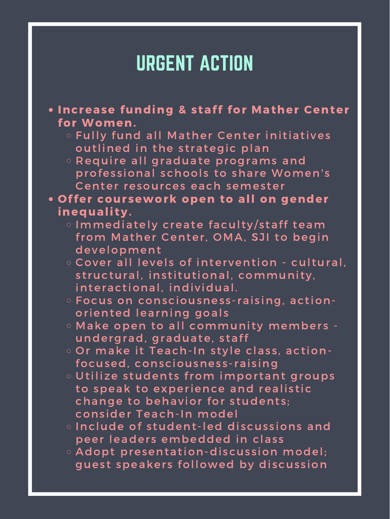## URGENT ACTION

- Increase funding & staff for Mather Center for Women.
	- $\circ$  Fully fund all Mather Center initiatives outlined in the strategic plan
	- Require all graduate programs and professional schools to share Women's Center resources each semester
- Offer coursework open to all on gender inequality.
	- o Immediately create faculty/staff team from Mather Center, OMA, SJI to begin development
	- $\circ$  Cover all levels of intervention cultural,
		- structural, institutional, community, interact ional, individual.
	- $\circ$  Focus on consciousness-raising, actionoriented learning goals
	- **Make open to all community members** undergrad, graduate, staff
	- Or make it Teach-In style class, actionfocused, consciousness-raising
	- $\circ$  Utilize students from important groups to speak to experience and realistic change to behavior for students; cons ider Teach-In model
	- o Include of student-led discussions and peer leaders embedded in class
	- $\circ$  Adopt presentation-discussion model; guest speakers followed by discussion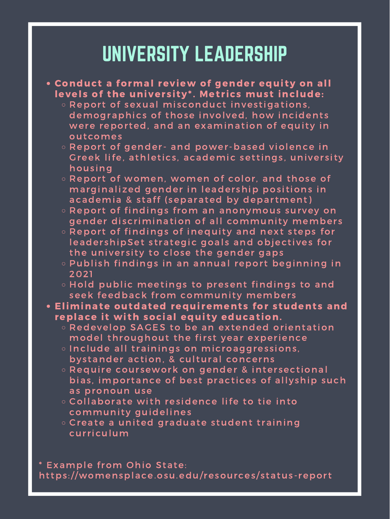#### UNIVERSITY LEADERSHIP

- Conduct a formal review of gender equity on all levels of the university\*. Metrics must include:
	- $\circ$  Report of sexual misconduct investigations, demographics of those involved, how incidents were reported, and an examination of equity in outcomes
	- o Report of gender- and power-based violence in Greek life, athletics, academic settings, university hous ing
	- $\circ$  Report of women, women of color, and those of marginalized gender in leadership positions in academia & staff (separated by department)
	- o Report of findings from an anonymous survey on gender discrimination of all community members
	- **OReport of findings of inequity and next steps for** leadershipSet strategic goals and objectives for the university to close the gender gaps
	- o Publish findings in an annual report beginning in
	- 2021
	- $\circ$  Hold public meetings to present findings to and seek feedback from community members
- Eliminate outdated requi rements for students and replace it with social equity education.
	- **O Redevelop SAGES to be an extended orientation** model throughout the first year experience
	- o Include all trainings on microaggressions, bystander action, & cultural concerns
	- **ORequire coursework on gender & intersectional** bias, importance of best practices of allyship such as pronoun use
	- $\circ$  Collaborate with residence life to tie into community guidelines
	- o Create a united graduate student training curriculum

Example from Ohio State: https://womensplace.osu.edu/resources/status-report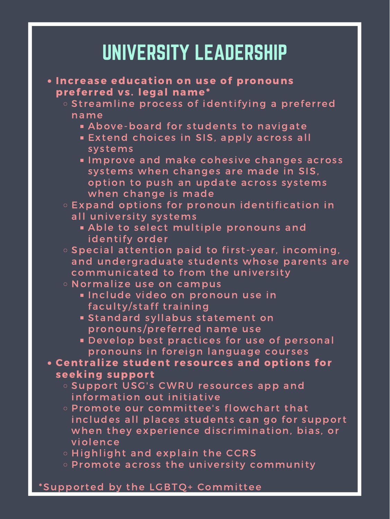### UNIVERSITY LEADERSHIP

- . Increase education on use of pronouns prefer red vs. legal name\*
	- o Streamline process of identifying a preferred name
		- Above-board for students to navigate
		- Extend choices in SIS, apply across all sys tems
		- Improve and make cohesive changes across systems when changes are made in SIS, option to push an update across systems when change is made
	- $\circ$  Expand options for pronoun identification in all university systems
		- Able to select multiple pronouns and identify order
	- o Special attention paid to first-year, incoming, and undergraduate students whose parents are communicated to from the university
	- Normalize use on campus
		- Include video on pronoun use in faculty/staff training
		- **Standard syllabus statement on** pronouns/preferred name use
		- Develop best practices for use of personal pronouns in foreign language courses
- Centralize student resources and options for seeking support
	- **Support USG's CWRU resources app and** information out initiative
	- $\circ$  Promote our committee's flowchart that includes all places students can go for support when they experience discrimination, bias, or violence
	- **EXPLAND EXPLAND THE CCRS**
	- $\circ$  Promote across the university community

#### \*Suppor ted by the LGBTQ+ Commi t tee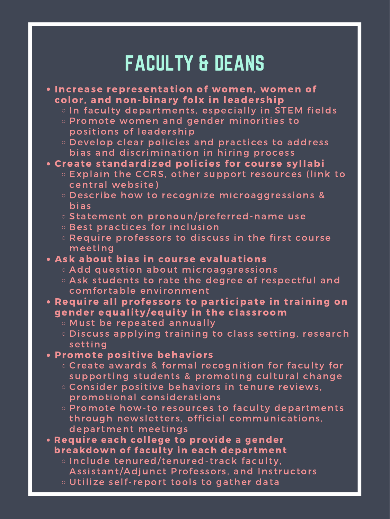## FACULTY & DEANS

- Increase representation of women, women of color, and non-binary folx in leadership
	- o In faculty departments, especially in STEM fields
	- o Promote women and gender minorities to positions of leadership
	- o Develop clear policies and practices to address bias and discrimination in hiring process
- Create standardized policies for course syllabi
	- **Explain the CCRS, other support resources (link to** central website)
	- o Describe how to recognize microaggressions & bias
	- Statement on pronoun/preferred-name use
	- **O Best practices for inclusion**
	- $\circ$  Require professors to discuss in the first course meet ing
- . Ask about bias in course evaluations
	- $\circ$  Add question about microaggressions
	- o Ask students to rate the degree of respectful and comfortable environment
- Require all professors to participate in training on gender equality/equity in the classroom
	- o Must be repeated annually
	- o Discuss applying training to class setting, research setting

#### • Promote positive behaviors

- $\circ$  Create awards & formal recognition for faculty for supporting students & promoting cultural change
- $\circ$  Consider positive behaviors in tenure reviews, promotional considerations
- $\circ$  Promote how-to resources to faculty departments through newsletters, official communications, department meetings
- Require each college to provide a gender breakdown of faculty in each department
	- o Include tenured/ tenured-track faculty,
	- Assistant/Adjunct Professors, and Instructors
	- **O** Utilize self-report tools to gather data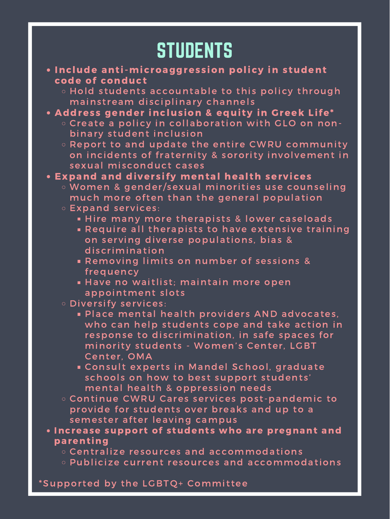## **STUDENTS**

- . Include anti-microaggression policy in student code of conduct
	- $\circ$  Hold students accountable to this policy through mainstream disciplinary channels
- Address gender inclusion & equity in Greek Life\*
	- $\circ$  Create a policy in collaboration with GLO on nonbinary student inclusion
	- $\circ$  Report to and update the entire CWRU community on incidents of fraternity & sorority involvement in sexual misconduct cases

#### • Expand and diversify mental health services

- o Women & gender/sexual minorities use counseling much more often than the general population
- Expand services :
	- Hire many more therapists & lower caseloads
	- Require all therapists to have extensive training on serving diverse populations, bias & discrimination
	- Removing limits on number of sessions & frequency Have no waitlist; maintain more open appointment slots
- **ODiversify services:** 
	- . Place mental health providers AND advocates, who can help students cope and take action in response to discrimination, in safe spaces for minority students - Women's Center, LGBT Center, OMA
	- Consult experts in Mandel School, graduate schools on how to best support students' mental health & oppression needs
- $\circ$  Continue CWRU Cares services post-pandemic to provide for students over breaks and up to a semester after leaving campus
- . Increase support of students who are pregnant and **parenting** 
	- o Centralize resources and accommodations
	- o Publicize current resources and accommodations

\*Supported by the LGBTQ+ Committee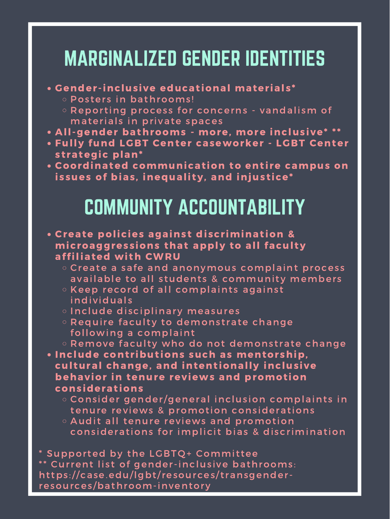# COMMUNITY ACCOUNTABILITY

- Create policies against discrimination & microaggressions that apply to all faculty affiliated wi th CWRU
	- $\circ$  Create a safe and anonymous complaint process
	- available to all students & community members
	- $\circ$  Keep record of all complaints against *individuals*
	- o Include disciplinary measures
	- o Require faculty to demonstrate change following a complaint
	- $\circ$  Remove faculty who do not demonstrate change
- . Include contributions such as mentorship, cultural change, and intentionally inclusive behavior in tenure reviews and promotion considerations
	- $\circ$  Consider gender/general inclusion complaints in tenure reviews & promotion considerations
	- **Audit all tenure reviews and promotion** considerations for implicit bias & discrimination

\* Supported by the LGBTQ+ Committee \*\* Current list of gender-inclusive bathrooms: https://case.edu/lgbt/resources/transgenderresources /bathroom-inventory

# MARGINALIZED GENDER IDENTITIES

#### . Gender-inclusive educational materials\*

- o Posters in bathrooms!
- $\circ$  Reporting process for concerns vandalism of materials in private spaces
- All-gender bathrooms more, more inclusive\* \*\*
- Fully fund LGBT Center caseworker LGBT Center strategic plan\*
- . Coordinated communication to entire campus on issues of bias, inequality, and injustice\*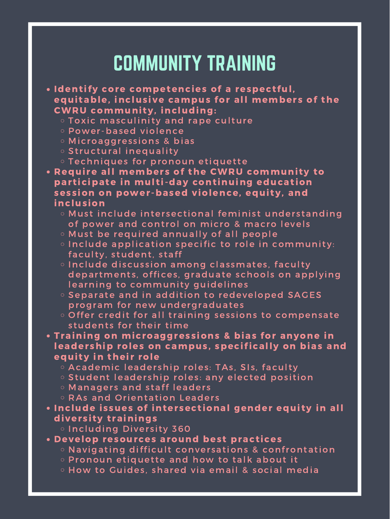### COMMUNITY TRAINING

- Identify core competencies of a respectful, equi table, inclusive campus for all members of the CWRU community, including:
	- **Toxic masculinity and rape culture**
	- Power-based violence
	- **O** Microaggressions & bias
	- o Structural inequality
	- **O. Techniques for pronoun etiquette**
- Require all members of the CWRU community to participate in multi-day continuing education session on power-based violence, equity, and inclusion
	- $\circ$  Must include intersectional feminist understanding of power and control on micro & macro levels
	- $\circ$  Must be required annually of all people
	- $\circ$  Include application specific to role in community: faculty, student, staff
- $\circ$  Include discussion among classmates, faculty departments, offices, graduate schools on applying learning to community guidelines  $\circ$  Separate and in addition to redeveloped SAGES program for new undergraduates  $\circ$  Offer credit for all training sessions to compensate students for their time Training on microaggressions & bias for anyone in leadership roles on campus, specifically on bias and equity in their role
	- $\circ$  Academic leadership roles: TAs, SIs, faculty
	- o Student leadership roles: any elected position
	- **O Managers and staff leaders**
	- **O RAs and Orientation Leaders**
- Include issues of intersectional gender equity in all diversity trainings
	- o Including Diversity 360
- Develop resources around best practices
	- $\circ$  Navigating difficult conversations & confrontation
	- $\circ$  Pronoun etiquette and how to talk about it
	- o How to Guides, shared via email & social media